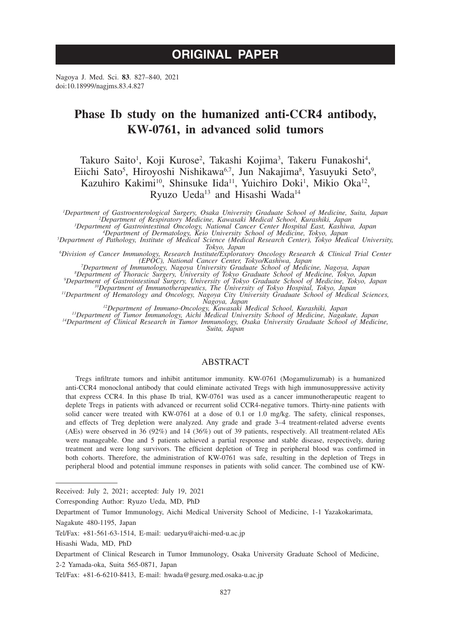# **ORIGINAL PAPER**

Nagoya J. Med. Sci. **83**. 827–840, 2021 doi:10.18999/nagjms.83.4.827

# **Phase Ib study on the humanized anti-CCR4 antibody, KW-0761, in advanced solid tumors**

Takuro Saito<sup>1</sup>, Koji Kurose<sup>2</sup>, Takashi Kojima<sup>3</sup>, Takeru Funakoshi<sup>4</sup>, Eiichi Sato<sup>5</sup>, Hiroyoshi Nishikawa<sup>6,7</sup>, Jun Nakajima<sup>8</sup>, Yasuyuki Seto<sup>9</sup>, Kazuhiro Kakimi<sup>10</sup>, Shinsuke Iida<sup>11</sup>, Yuichiro Doki<sup>1</sup>, Mikio Oka<sup>12</sup>, Ryuzo Ueda<sup>13</sup> and Hisashi Wada<sup>14</sup>

*1 Department of Gastroenterological Surgery, Osaka University Graduate School of Medicine, Suita, Japan <sup>2</sup> Department of Respiratory Medicine, Kawasaki Medical School, Kurashiki, Japan <sup>3</sup> Department of Gastrointestinal Oncology, National Cancer Center Hospital East, Kashiwa, Japan <sup>4</sup>*

<sup>5</sup> Department of Dermatology, Keio University School of Medicine, Tokyo, Japan<br><sup>5</sup> Department of Pathology, Institute of Medical Science (Medical Research Center), Tokyo Medical University,

*Tokyo, Japan <sup>6</sup> Division of Cancer Immunology, Research Institute/Exploratory Oncology Research & Clinical Trial Center* 

(EPOC), National Cancer Center, Tokyo/Kashiwa, Japan<br>
<sup>7</sup>Department of Immunology, Nagoya University Graduate School of Medicine, Nagoya, Japan<br>
<sup>8</sup>Department of Thoracic Surgery, University of Tokyo Graduate School of Med

Comment of Hematology and Cheology, Nagoya, Japan<br><sup>12</sup>Department of Immuno-Oncology, Kawasaki Medical School, Kurashiki, Japan<br><sup>13</sup>Department of Tumor Immunology, Aichi Medical University School of Medicine, Nagakute, Japa

*Suita, Japan*

# ABSTRACT

Tregs infiltrate tumors and inhibit antitumor immunity. KW-0761 (Mogamulizumab) is a humanized anti-CCR4 monoclonal antibody that could eliminate activated Tregs with high immunosuppressive activity that express CCR4. In this phase Ib trial, KW-0761 was used as a cancer immunotherapeutic reagent to deplete Tregs in patients with advanced or recurrent solid CCR4-negative tumors. Thirty-nine patients with solid cancer were treated with KW-0761 at a dose of 0.1 or 1.0 mg/kg. The safety, clinical responses, and effects of Treg depletion were analyzed. Any grade and grade 3–4 treatment-related adverse events (AEs) were observed in 36 (92%) and 14 (36%) out of 39 patients, respectively. All treatment-related AEs were manageable. One and 5 patients achieved a partial response and stable disease, respectively, during treatment and were long survivors. The efficient depletion of Treg in peripheral blood was confirmed in both cohorts. Therefore, the administration of KW-0761 was safe, resulting in the depletion of Tregs in peripheral blood and potential immune responses in patients with solid cancer. The combined use of KW-

Received: July 2, 2021; accepted: July 19, 2021

Corresponding Author: Ryuzo Ueda, MD, PhD

Department of Tumor Immunology, Aichi Medical University School of Medicine, 1-1 Yazakokarimata,

Nagakute 480-1195, Japan

Tel/Fax: +81-561-63-1514, E-mail: uedaryu@aichi-med-u.ac.jp

Hisashi Wada, MD, PhD

Department of Clinical Research in Tumor Immunology, Osaka University Graduate School of Medicine,

<sup>2-2</sup> Yamada-oka, Suita 565-0871, Japan

Tel/Fax: +81-6-6210-8413, E-mail: hwada@gesurg.med.osaka-u.ac.jp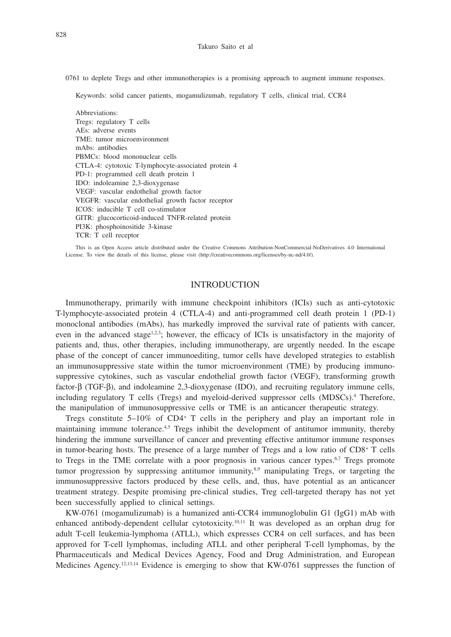0761 to deplete Tregs and other immunotherapies is a promising approach to augment immune responses.

Keywords: solid cancer patients, mogamulizumab, regulatory T cells, clinical trial, CCR4

Abbreviations: Tregs: regulatory T cells AEs: adverse events TME: tumor microenvironment mAbs: antibodies PBMCs: blood mononuclear cells CTLA-4: cytotoxic T-lymphocyte-associated protein 4 PD-1: programmed cell death protein 1 IDO: indoleamine 2,3-dioxygenase VEGF: vascular endothelial growth factor VEGFR: vascular endothelial growth factor receptor ICOS: inducible T cell co-stimulator GITR: glucocorticoid-induced TNFR-related protein PI3K: phosphoinositide 3-kinase TCR: T cell receptor

This is an Open Access article distributed under the Creative Commons Attribution-NonCommercial-NoDerivatives 4.0 International License. To view the details of this license, please visit (http://creativecommons.org/licenses/by-nc-nd/4.0/).

## INTRODUCTION

Immunotherapy, primarily with immune checkpoint inhibitors (ICIs) such as anti-cytotoxic T-lymphocyte-associated protein 4 (CTLA-4) and anti-programmed cell death protein 1 (PD-1) monoclonal antibodies (mAbs), has markedly improved the survival rate of patients with cancer, even in the advanced stage<sup>1,2,3</sup>; however, the efficacy of ICIs is unsatisfactory in the majority of patients and, thus, other therapies, including immunotherapy, are urgently needed. In the escape phase of the concept of cancer immunoediting, tumor cells have developed strategies to establish an immunosuppressive state within the tumor microenvironment (TME) by producing immunosuppressive cytokines, such as vascular endothelial growth factor (VEGF), transforming growth factor-β (TGF-β), and indoleamine 2,3-dioxygenase (IDO), and recruiting regulatory immune cells, including regulatory T cells (Tregs) and myeloid-derived suppressor cells (MDSCs).<sup>4</sup> Therefore, the manipulation of immunosuppressive cells or TME is an anticancer therapeutic strategy.

Tregs constitute  $5-10\%$  of CD4<sup>+</sup> T cells in the periphery and play an important role in maintaining immune tolerance.<sup>4,5</sup> Tregs inhibit the development of antitumor immunity, thereby hindering the immune surveillance of cancer and preventing effective antitumor immune responses in tumor-bearing hosts. The presence of a large number of Tregs and a low ratio of CD8+ T cells to Tregs in the TME correlate with a poor prognosis in various cancer types.<sup>6,7</sup> Tregs promote tumor progression by suppressing antitumor immunity, $8.9$  manipulating Tregs, or targeting the immunosuppressive factors produced by these cells, and, thus, have potential as an anticancer treatment strategy. Despite promising pre-clinical studies, Treg cell-targeted therapy has not yet been successfully applied to clinical settings.

KW-0761 (mogamulizumab) is a humanized anti-CCR4 immunoglobulin G1 (IgG1) mAb with enhanced antibody-dependent cellular cytotoxicity.<sup>10,11</sup> It was developed as an orphan drug for adult T-cell leukemia-lymphoma (ATLL), which expresses CCR4 on cell surfaces, and has been approved for T-cell lymphomas, including ATLL and other peripheral T-cell lymphomas, by the Pharmaceuticals and Medical Devices Agency, Food and Drug Administration, and European Medicines Agency.<sup>12,13,14</sup> Evidence is emerging to show that KW-0761 suppresses the function of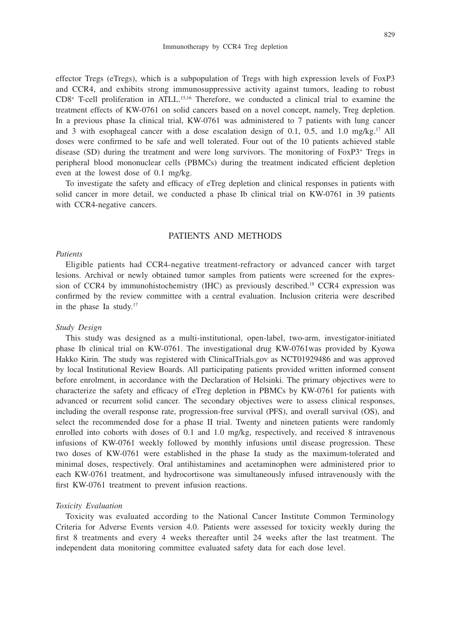effector Tregs (eTregs), which is a subpopulation of Tregs with high expression levels of FoxP3 and CCR4, and exhibits strong immunosuppressive activity against tumors, leading to robust CD8+ T-cell proliferation in ATLL.15,16 Therefore, we conducted a clinical trial to examine the treatment effects of KW-0761 on solid cancers based on a novel concept, namely, Treg depletion. In a previous phase Ia clinical trial, KW-0761 was administered to 7 patients with lung cancer and 3 with esophageal cancer with a dose escalation design of 0.1, 0.5, and 1.0 mg/kg.<sup>17</sup> All doses were confirmed to be safe and well tolerated. Four out of the 10 patients achieved stable disease (SD) during the treatment and were long survivors. The monitoring of FoxP3+ Tregs in peripheral blood mononuclear cells (PBMCs) during the treatment indicated efficient depletion even at the lowest dose of 0.1 mg/kg.

To investigate the safety and efficacy of eTreg depletion and clinical responses in patients with solid cancer in more detail, we conducted a phase Ib clinical trial on KW-0761 in 39 patients with CCR4-negative cancers.

## PATIENTS AND METHODS

## *Patients*

Eligible patients had CCR4-negative treatment-refractory or advanced cancer with target lesions. Archival or newly obtained tumor samples from patients were screened for the expression of CCR4 by immunohistochemistry (IHC) as previously described.<sup>18</sup> CCR4 expression was confirmed by the review committee with a central evaluation. Inclusion criteria were described in the phase Ia study.17

#### *Study Design*

This study was designed as a multi-institutional, open-label, two-arm, investigator-initiated phase Ib clinical trial on KW-0761. The investigational drug KW-0761was provided by Kyowa Hakko Kirin. The study was registered with ClinicalTrials.gov as NCT01929486 and was approved by local Institutional Review Boards. All participating patients provided written informed consent before enrolment, in accordance with the Declaration of Helsinki. The primary objectives were to characterize the safety and efficacy of eTreg depletion in PBMCs by KW-0761 for patients with advanced or recurrent solid cancer. The secondary objectives were to assess clinical responses, including the overall response rate, progression-free survival (PFS), and overall survival (OS), and select the recommended dose for a phase II trial. Twenty and nineteen patients were randomly enrolled into cohorts with doses of 0.1 and 1.0 mg/kg, respectively, and received 8 intravenous infusions of KW-0761 weekly followed by monthly infusions until disease progression. These two doses of KW-0761 were established in the phase Ia study as the maximum-tolerated and minimal doses, respectively. Oral antihistamines and acetaminophen were administered prior to each KW-0761 treatment, and hydrocortisone was simultaneously infused intravenously with the first KW-0761 treatment to prevent infusion reactions.

#### *Toxicity Evaluation*

Toxicity was evaluated according to the National Cancer Institute Common Terminology Criteria for Adverse Events version 4.0. Patients were assessed for toxicity weekly during the first 8 treatments and every 4 weeks thereafter until 24 weeks after the last treatment. The independent data monitoring committee evaluated safety data for each dose level.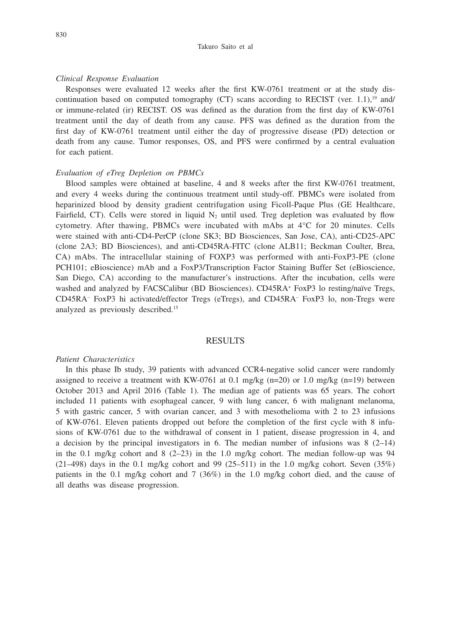#### *Clinical Response Evaluation*

Responses were evaluated 12 weeks after the first KW-0761 treatment or at the study discontinuation based on computed tomography (CT) scans according to RECIST (ver. 1.1),<sup>19</sup> and/ or immune-related (ir) RECIST. OS was defined as the duration from the first day of KW-0761 treatment until the day of death from any cause. PFS was defined as the duration from the first day of KW-0761 treatment until either the day of progressive disease (PD) detection or death from any cause. Tumor responses, OS, and PFS were confirmed by a central evaluation for each patient.

## *Evaluation of eTreg Depletion on PBMCs*

Blood samples were obtained at baseline, 4 and 8 weeks after the first KW-0761 treatment, and every 4 weeks during the continuous treatment until study-off. PBMCs were isolated from heparinized blood by density gradient centrifugation using Ficoll-Paque Plus (GE Healthcare, Fairfield, CT). Cells were stored in liquid  $N_2$  until used. Treg depletion was evaluated by flow cytometry. After thawing, PBMCs were incubated with mAbs at 4°C for 20 minutes. Cells were stained with anti-CD4-PerCP (clone SK3; BD Biosciences, San Jose, CA), anti-CD25-APC (clone 2A3; BD Biosciences), and anti-CD45RA-FITC (clone ALB11; Beckman Coulter, Brea, CA) mAbs. The intracellular staining of FOXP3 was performed with anti-FoxP3-PE (clone PCH101; eBioscience) mAb and a FoxP3/Transcription Factor Staining Buffer Set (eBioscience, San Diego, CA) according to the manufacturer's instructions. After the incubation, cells were washed and analyzed by FACSCalibur (BD Biosciences). CD45RA+ FoxP3 lo resting/naïve Tregs, CD45RA– FoxP3 hi activated/effector Tregs (eTregs), and CD45RA– FoxP3 lo, non-Tregs were analyzed as previously described.15

#### RESULTS

## *Patient Characteristics*

In this phase Ib study, 39 patients with advanced CCR4-negative solid cancer were randomly assigned to receive a treatment with KW-0761 at 0.1 mg/kg  $(n=20)$  or 1.0 mg/kg  $(n=19)$  between October 2013 and April 2016 (Table 1). The median age of patients was 65 years. The cohort included 11 patients with esophageal cancer, 9 with lung cancer, 6 with malignant melanoma, 5 with gastric cancer, 5 with ovarian cancer, and 3 with mesothelioma with 2 to 23 infusions of KW-0761. Eleven patients dropped out before the completion of the first cycle with 8 infusions of KW-0761 due to the withdrawal of consent in 1 patient, disease progression in 4, and a decision by the principal investigators in 6. The median number of infusions was  $8(2-14)$ in the 0.1 mg/kg cohort and 8  $(2-23)$  in the 1.0 mg/kg cohort. The median follow-up was 94  $(21–498)$  days in the 0.1 mg/kg cohort and 99 (25–511) in the 1.0 mg/kg cohort. Seven (35%) patients in the 0.1 mg/kg cohort and 7 (36%) in the 1.0 mg/kg cohort died, and the cause of all deaths was disease progression.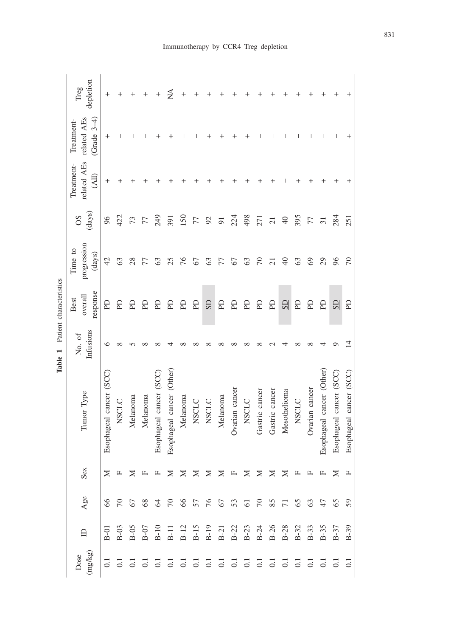| depletion<br>Treg                                      | +                       |              |          |              | +                       | ≸                         |          |              |                     |                |                |              |                |                |                 |              |                |                           |                         |                         |
|--------------------------------------------------------|-------------------------|--------------|----------|--------------|-------------------------|---------------------------|----------|--------------|---------------------|----------------|----------------|--------------|----------------|----------------|-----------------|--------------|----------------|---------------------------|-------------------------|-------------------------|
| $(Grade 3-4)$<br>related AEs related AEs<br>Treatment- | $\,{}^+$                |              |          |              |                         |                           |          |              |                     |                |                |              |                |                |                 |              |                |                           |                         |                         |
| Treatment-<br>(All)                                    | +                       |              |          |              |                         |                           |          |              |                     |                |                |              |                |                |                 |              |                |                           |                         |                         |
| (days)<br>SO <sub>3</sub>                              | 96                      | 422          | 73       |              | 249                     | 391                       | 150      | 77           | 92                  | $\overline{9}$ | 224            | 498          | 271            | $\overline{c}$ | $\overline{40}$ | 395          | 77             | $\overline{31}$           | 284                     | 251                     |
| progression<br>Time to<br>(days)                       | $\overline{4}$          | 63           | 28       |              | S                       | 25                        | 76       | 67           | 63                  | 77             | 67             | 63           | $\sqrt{2}$     | $\overline{z}$ | $\Theta$        | 63           | 69             | 29                        | 96                      | $\sqrt{2}$              |
| response<br>overall<br>Best                            | E                       | E            | £        | £            | £                       | £                         | £        | E            | <b>GS</b>           | R              | Eq             | E            | E              | E              | <b>GS</b>       | Eq           | £              | E                         | SD                      | <b>PD</b>               |
| Infusions<br>No. of                                    | ७                       |              |          |              |                         |                           |          |              |                     |                |                |              |                |                |                 |              |                |                           |                         |                         |
| Tumor Type                                             | Esophageal cancer (SCC) | <b>NSCLC</b> | Melanoma | Melanoma     | Esophageal cancer (SCC  | Esophageal cancer (Other) | Melanoma | <b>NSCLC</b> | <b>NSCLC</b>        | Melanoma       | Ovarian cancer | <b>NSCLC</b> | Gastric cancer | Gastric cancer | Mesothelioma    | <b>NSCLC</b> | Ovarian cancer | Esophageal cancer (Other) | Esophageal cancer (SCC) | Esophageal cancer (SCC) |
| Sex                                                    | $\geq$                  | $\mathbb{L}$ | $\geq$   | $\mathbb{L}$ |                         |                           |          |              | X X X X X H X X X X |                |                |              |                |                |                 | $\mathbb{L}$ | $\mathbb{L}$   | $\mathbf{L}$              | ⊠                       | $\mathbb{L}$            |
| Age                                                    | 66                      |              |          |              | $223728787878878878878$ |                           |          |              |                     |                |                |              |                |                |                 |              |                |                           |                         | 59                      |
| $\mathbf{r}$                                           | $B-01$                  |              |          |              |                         |                           |          |              |                     |                |                |              |                |                |                 |              |                |                           |                         |                         |
| $\left( \text{mg/kg}\right)$<br>Dose                   |                         |              |          |              |                         |                           |          |              |                     |                |                |              |                |                |                 |              |                |                           |                         |                         |

Table 1 Patient characteristics **Table 1** Patient characteristics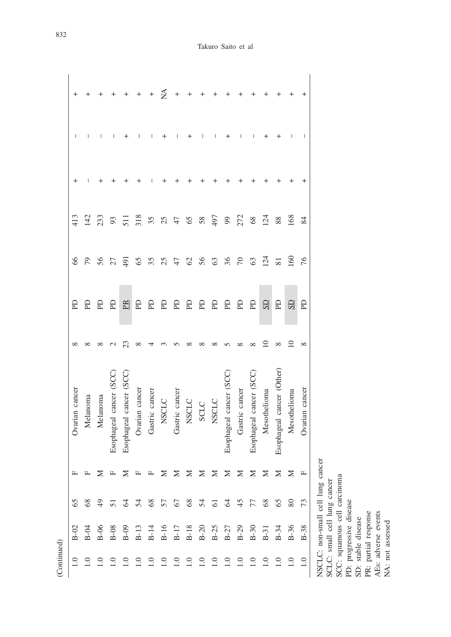| ontinued |  |
|----------|--|

|                |          |          |                         |                         |                |                |              |                |               |      |              |                                                                                                               |                |                        |                        |                           |              | I              |
|----------------|----------|----------|-------------------------|-------------------------|----------------|----------------|--------------|----------------|---------------|------|--------------|---------------------------------------------------------------------------------------------------------------|----------------|------------------------|------------------------|---------------------------|--------------|----------------|
|                |          |          |                         |                         |                |                |              |                |               |      |              |                                                                                                               |                |                        |                        |                           |              |                |
| 413            | 142      | 233      | 93                      | $\overline{51}$         | 318            | 35             | 25           | 47             | 65            | 58   | 497          | $\mathcal{L}$                                                                                                 | 272            | 68                     | 124                    | 88                        | 168          | 84             |
| 66             | 79       | 56       | 27                      | 191                     | 65             | 35             |              | 47             | $\mathcal{O}$ | 56   | 63           | 36                                                                                                            | $\sqrt{2}$     | 63                     | 124                    | $\overline{81}$           | <u>50</u>    | 76             |
| £              | £        | £        | R                       | <b>ER</b>               | £              | £              | £            | £              | R             | £    | £            | £                                                                                                             | £              | R                      | $\overline{\text{SD}}$ | E                         | $\mathbb{S}$ | <b>PD</b>      |
|                |          |          |                         |                         |                |                |              |                |               |      |              |                                                                                                               |                |                        |                        |                           |              | ∞              |
| Ovarian cancer | Melanoma | Melanoma | Esophageal cancer (SCC) | Esophageal cancer (SCC) | Ovarian cancer | Gastric cancer | <b>NSCLC</b> | Gastric cancer | <b>NSCLC</b>  | SCLC | <b>NSCLC</b> | Esophageal cancer (SCC                                                                                        | Gastric cancer | Esophageal cancer (SCC | Mesothelioma           | Esophageal cancer (Other) | Mesothelioma | Ovarian cancer |
|                |          |          |                         |                         |                |                |              |                |               |      |              | F F Z F Z F F Z Z Z Z Z Z Z Z Z Z Z H                                                                         |                |                        |                        |                           |              |                |
|                |          |          |                         |                         |                |                |              |                |               |      |              |                                                                                                               |                |                        |                        |                           |              |                |
| $B-02$         |          |          |                         |                         |                |                |              |                |               |      |              | 4 9 8 9 9 1 4 9 5 6 7 7 8 9 9 7 4 9 6 7 7 8 9 7 7 8 9 7 7 8 9 7 8 9 7 8 9 7 8 9 7 8 9 7 8 9 7 8 9 7 8 9 7 8 9 |                |                        |                        |                           |              |                |
|                |          |          |                         |                         |                |                |              |                |               |      |              | 3 3 3 3 3 3 3 3 3 3 3 3 3 3 3 3 3 4 5                                                                         |                |                        |                        |                           |              |                |

NSCLC: non-small cell lung cancer SCLC: small cell lung cancer

NSCLC: non-small cell lung cancer<br>SCLC: small cell lung cancer<br>SCC: squamous cell carcinoma<br>PD: progressive disease<br>SD: stable disease<br>PR: partial response<br>AEs: adverse events<br>AEs: adverse events SCC: squamous cell carcinoma PD: progressive disease PR: partial response SD: stable disease

AEs: adverse events NA: not assessed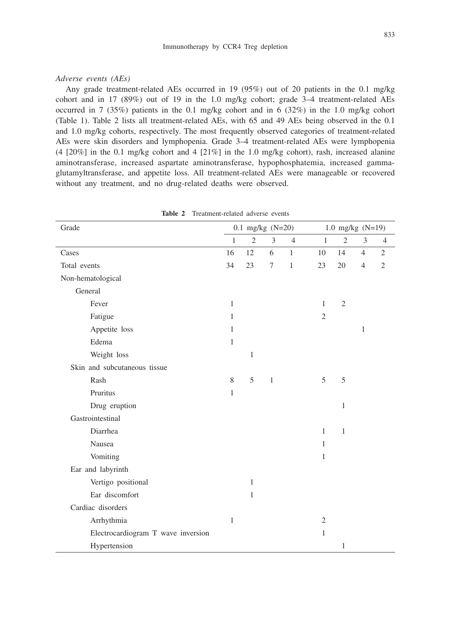#### *Adverse events (AEs)*

Any grade treatment-related AEs occurred in 19 (95%) out of 20 patients in the 0.1 mg/kg cohort and in 17 (89%) out of 19 in the 1.0 mg/kg cohort; grade 3–4 treatment-related AEs occurred in 7 (35%) patients in the 0.1 mg/kg cohort and in 6 (32%) in the 1.0 mg/kg cohort (Table 1). Table 2 lists all treatment-related AEs, with 65 and 49 AEs being observed in the 0.1 and 1.0 mg/kg cohorts, respectively. The most frequently observed categories of treatment-related AEs were skin disorders and lymphopenia. Grade 3–4 treatment-related AEs were lymphopenia  $(4 \t[20\%]$  in the 0.1 mg/kg cohort and 4  $[21\%]$  in the 1.0 mg/kg cohort), rash, increased alanine aminotransferase, increased aspartate aminotransferase, hypophosphatemia, increased gammaglutamyltransferase, and appetite loss. All treatment-related AEs were manageable or recovered without any treatment, and no drug-related deaths were observed.

| Grade                              |              | $0.1$ mg/kg (N=20) |              |                |                | 1.0 mg/kg $(N=19)$ |                |                |  |  |  |  |
|------------------------------------|--------------|--------------------|--------------|----------------|----------------|--------------------|----------------|----------------|--|--|--|--|
|                                    | $\mathbf{1}$ | $\overline{2}$     | 3            | $\overline{4}$ | $\mathbf{1}$   | $\overline{2}$     | 3              | $\overline{4}$ |  |  |  |  |
| Cases                              | 16           | 12                 | 6            | $\mathbf{1}$   | 10             | 14                 | $\overline{4}$ | $\overline{2}$ |  |  |  |  |
| Total events                       | 34           | 23                 | 7            | $\mathbf{1}$   | 23             | 20                 | $\overline{4}$ | $\mathfrak{2}$ |  |  |  |  |
| Non-hematological                  |              |                    |              |                |                |                    |                |                |  |  |  |  |
| General                            |              |                    |              |                |                |                    |                |                |  |  |  |  |
| Fever                              | $\mathbf{1}$ |                    |              |                | $\mathbf{1}$   | $\overline{2}$     |                |                |  |  |  |  |
| Fatigue                            | $\mathbf{1}$ |                    |              |                | $\overline{2}$ |                    |                |                |  |  |  |  |
| Appetite loss                      | $\mathbf{1}$ |                    |              |                |                |                    | $\mathbf{1}$   |                |  |  |  |  |
| Edema                              | 1            |                    |              |                |                |                    |                |                |  |  |  |  |
| Weight loss                        |              | $\mathbf{1}$       |              |                |                |                    |                |                |  |  |  |  |
| Skin and subcutaneous tissue       |              |                    |              |                |                |                    |                |                |  |  |  |  |
| Rash                               | 8            | 5                  | $\mathbf{1}$ |                | 5              | 5                  |                |                |  |  |  |  |
| Pruritus                           | $\mathbf{1}$ |                    |              |                |                |                    |                |                |  |  |  |  |
| Drug eruption                      |              |                    |              |                |                | 1                  |                |                |  |  |  |  |
| Gastrointestinal                   |              |                    |              |                |                |                    |                |                |  |  |  |  |
| Diarrhea                           |              |                    |              |                | $\mathbf{1}$   | $\mathbf{1}$       |                |                |  |  |  |  |
| Nausea                             |              |                    |              |                | $\mathbf{1}$   |                    |                |                |  |  |  |  |
| Vomiting                           |              |                    |              |                | $\mathbf{1}$   |                    |                |                |  |  |  |  |
| Ear and labyrinth                  |              |                    |              |                |                |                    |                |                |  |  |  |  |
| Vertigo positional                 |              | $\mathbf{1}$       |              |                |                |                    |                |                |  |  |  |  |
| Ear discomfort                     |              | 1                  |              |                |                |                    |                |                |  |  |  |  |
| Cardiac disorders                  |              |                    |              |                |                |                    |                |                |  |  |  |  |
| Arrhythmia                         | $\mathbf{1}$ |                    |              |                | $\overline{2}$ |                    |                |                |  |  |  |  |
| Electrocardiogram T wave inversion |              |                    |              |                | $\mathbf{1}$   |                    |                |                |  |  |  |  |
| Hypertension                       |              |                    |              |                |                | 1                  |                |                |  |  |  |  |

**Table 2** Treatment-related adverse events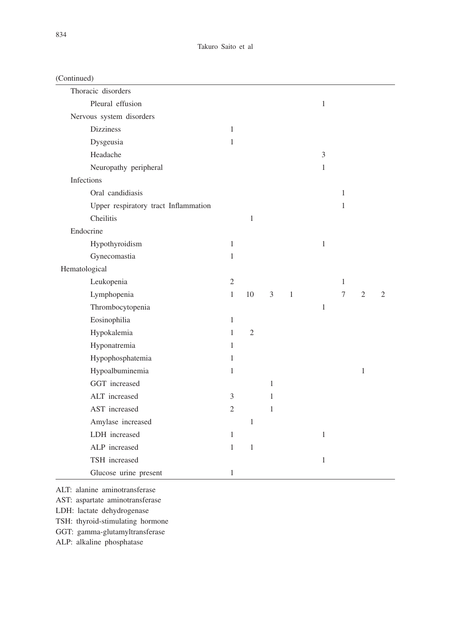| Thoracic disorders                   |                |              |                |         |              |              |                |                |
|--------------------------------------|----------------|--------------|----------------|---------|--------------|--------------|----------------|----------------|
| Pleural effusion                     |                |              |                |         | 1            |              |                |                |
| Nervous system disorders             |                |              |                |         |              |              |                |                |
| <b>Dizziness</b>                     | $\mathbf{1}$   |              |                |         |              |              |                |                |
| Dysgeusia                            | $\mathbf{1}$   |              |                |         |              |              |                |                |
| Headache                             |                |              |                |         | 3            |              |                |                |
| Neuropathy peripheral                |                |              |                |         | 1            |              |                |                |
| Infections                           |                |              |                |         |              |              |                |                |
| Oral candidiasis                     |                |              |                |         |              | $\mathbf{1}$ |                |                |
| Upper respiratory tract Inflammation |                |              |                |         |              | 1            |                |                |
| Cheilitis                            |                | $\mathbf{1}$ |                |         |              |              |                |                |
| Endocrine                            |                |              |                |         |              |              |                |                |
| Hypothyroidism                       | $\mathbf{1}$   |              |                |         | $\,1\,$      |              |                |                |
| Gynecomastia                         | 1              |              |                |         |              |              |                |                |
| Hematological                        |                |              |                |         |              |              |                |                |
| Leukopenia                           | $\mathfrak{2}$ |              |                |         |              | $\mathbf{1}$ |                |                |
| Lymphopenia                          | $\mathbf{1}$   | 10           | $\mathfrak{Z}$ | $\,1\,$ |              | 7            | $\overline{2}$ | $\overline{2}$ |
| Thrombocytopenia                     |                |              |                |         | $\mathbf{1}$ |              |                |                |
| Eosinophilia                         | $\mathbf{1}$   |              |                |         |              |              |                |                |
| Hypokalemia                          | $\mathbf{1}$   | $\mathbf{2}$ |                |         |              |              |                |                |
| Hyponatremia                         | 1              |              |                |         |              |              |                |                |
| Hypophosphatemia                     | $\mathbf{1}$   |              |                |         |              |              |                |                |
| Hypoalbuminemia                      | $\mathbf{1}$   |              |                |         |              |              | $\mathbf{1}$   |                |
| GGT increased                        |                |              | $\mathbf{1}$   |         |              |              |                |                |
| ALT increased                        | 3              |              | 1              |         |              |              |                |                |
| AST increased                        | $\mathfrak{2}$ |              | $\mathbf{1}$   |         |              |              |                |                |
| Amylase increased                    |                | $\mathbf{1}$ |                |         |              |              |                |                |
| LDH increased                        | $\mathbf{1}$   |              |                |         | $\mathbf{1}$ |              |                |                |
| ALP increased                        | $\mathbf{1}$   | $\,1$        |                |         |              |              |                |                |
| TSH increased                        |                |              |                |         | $\mathbf{1}$ |              |                |                |
| Glucose urine present                | 1              |              |                |         |              |              |                |                |

ALT: alanine aminotransferase

AST: aspartate aminotransferase

LDH: lactate dehydrogenase

TSH: thyroid-stimulating hormone

GGT: gamma-glutamyltransferase

ALP: alkaline phosphatase

(Continued)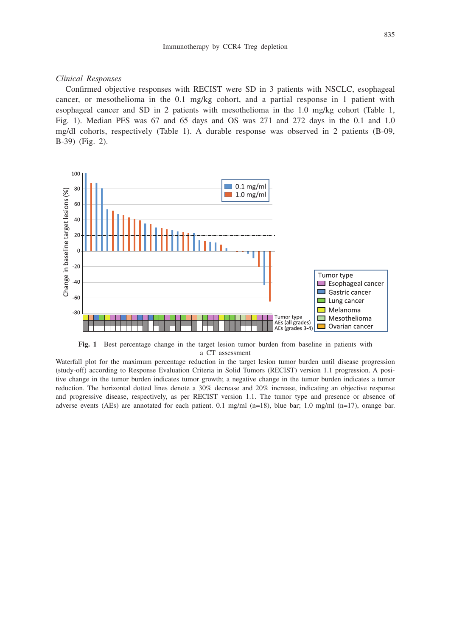#### *Clinical Responses*

Confirmed objective responses with RECIST were SD in 3 patients with NSCLC, esophageal cancer, or mesothelioma in the 0.1 mg/kg cohort, and a partial response in 1 patient with esophageal cancer and SD in 2 patients with mesothelioma in the 1.0 mg/kg cohort (Table 1, Fig. 1). Median PFS was 67 and 65 days and OS was 271 and 272 days in the 0.1 and 1.0 mg/dl cohorts, respectively (Table 1). A durable response was observed in 2 patients (B-09, B-39) (Fig. 2).



**Fig. 1** Best percentage change in the target lesion tumor burden from baseline in patients with a CT assessment

Waterfall plot for the maximum percentage reduction in the target lesion tumor burden until disease progression (study-off) according to Response Evaluation Criteria in Solid Tumors (RECIST) version 1.1 progression. A positive change in the tumor burden indicates tumor growth; a negative change in the tumor burden indicates a tumor reduction. The horizontal dotted lines denote a 30% decrease and 20% increase, indicating an objective response and progressive disease, respectively, as per RECIST version 1.1. The tumor type and presence or absence of adverse events (AEs) are annotated for each patient. 0.1 mg/ml  $(n=18)$ , blue bar; 1.0 mg/ml  $(n=17)$ , orange bar.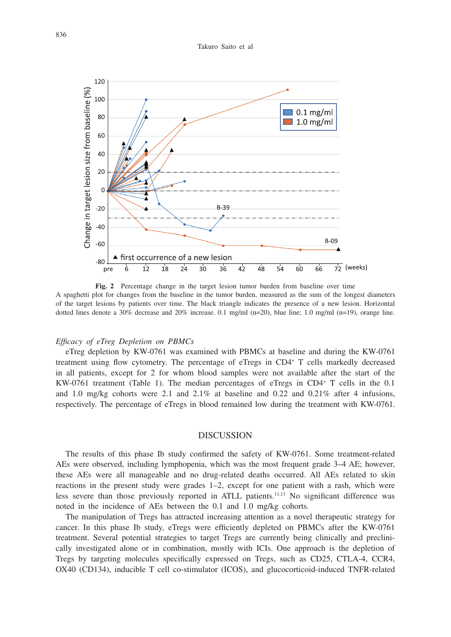

**Fig. 2** Percentage change in the target lesion tumor burden from baseline over time A spaghetti plot for changes from the baseline in the tumor burden, measured as the sum of the longest diameters of the target lesions by patients over time. The black triangle indicates the presence of a new lesion. Horizontal dotted lines denote a 30% decrease and 20% increase. 0.1 mg/ml (n=20), blue line; 1.0 mg/ml (n=19), orange line.

#### *Efficacy of eTreg Depletion on PBMCs*

eTreg depletion by KW-0761 was examined with PBMCs at baseline and during the KW-0761 treatment using flow cytometry. The percentage of eTregs in CD4+ T cells markedly decreased in all patients, except for 2 for whom blood samples were not available after the start of the KW-0761 treatment (Table 1). The median percentages of eTregs in CD4+ T cells in the 0.1 and 1.0 mg/kg cohorts were 2.1 and 2.1% at baseline and 0.22 and 0.21% after 4 infusions, respectively. The percentage of eTregs in blood remained low during the treatment with KW-0761.

### DISCUSSION

The results of this phase Ib study confirmed the safety of KW-0761. Some treatment-related AEs were observed, including lymphopenia, which was the most frequent grade 3–4 AE; however, these AEs were all manageable and no drug-related deaths occurred. All AEs related to skin reactions in the present study were grades 1–2, except for one patient with a rash, which were less severe than those previously reported in ATLL patients.<sup>11,13</sup> No significant difference was noted in the incidence of AEs between the 0.1 and 1.0 mg/kg cohorts.

The manipulation of Tregs has attracted increasing attention as a novel therapeutic strategy for cancer. In this phase Ib study, eTregs were efficiently depleted on PBMCs after the KW-0761 treatment. Several potential strategies to target Tregs are currently being clinically and preclinically investigated alone or in combination, mostly with ICIs. One approach is the depletion of Tregs by targeting molecules specifically expressed on Tregs, such as CD25, CTLA-4, CCR4, OX40 (CD134), inducible T cell co-stimulator (ICOS), and glucocorticoid-induced TNFR-related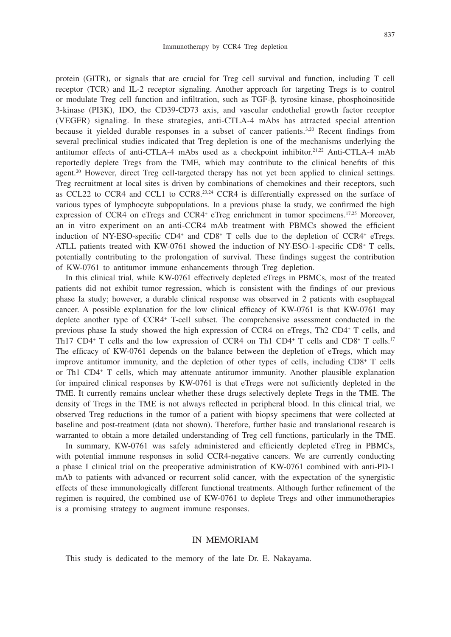protein (GITR), or signals that are crucial for Treg cell survival and function, including T cell receptor (TCR) and IL-2 receptor signaling. Another approach for targeting Tregs is to control or modulate Treg cell function and infiltration, such as TGF-β, tyrosine kinase, phosphoinositide 3-kinase (PI3K), IDO, the CD39-CD73 axis, and vascular endothelial growth factor receptor (VEGFR) signaling. In these strategies, anti-CTLA-4 mAbs has attracted special attention because it yielded durable responses in a subset of cancer patients.3,20 Recent findings from several preclinical studies indicated that Treg depletion is one of the mechanisms underlying the antitumor effects of anti-CTLA-4 mAbs used as a checkpoint inhibitor.21,22 Anti-CTLA-4 mAb reportedly deplete Tregs from the TME, which may contribute to the clinical benefits of this agent.<sup>20</sup> However, direct Treg cell-targeted therapy has not yet been applied to clinical settings. Treg recruitment at local sites is driven by combinations of chemokines and their receptors, such as CCL22 to CCR4 and CCL1 to CCR8.<sup>23,24</sup> CCR4 is differentially expressed on the surface of various types of lymphocyte subpopulations. In a previous phase Ia study, we confirmed the high expression of CCR4 on eTregs and CCR4<sup>+</sup> eTreg enrichment in tumor specimens.<sup>17,25</sup> Moreover, an in vitro experiment on an anti-CCR4 mAb treatment with PBMCs showed the efficient induction of NY-ESO-specific  $CD4^+$  and  $CD8^+$  T cells due to the depletion of  $CCR4^+$  eTregs. ATLL patients treated with KW-0761 showed the induction of NY-ESO-1-specific CD8+ T cells, potentially contributing to the prolongation of survival. These findings suggest the contribution of KW-0761 to antitumor immune enhancements through Treg depletion.

In this clinical trial, while KW-0761 effectively depleted eTregs in PBMCs, most of the treated patients did not exhibit tumor regression, which is consistent with the findings of our previous phase Ia study; however, a durable clinical response was observed in 2 patients with esophageal cancer. A possible explanation for the low clinical efficacy of KW-0761 is that KW-0761 may deplete another type of CCR4+ T-cell subset. The comprehensive assessment conducted in the previous phase Ia study showed the high expression of CCR4 on eTregs, Th2 CD4+ T cells, and Th17 CD4<sup>+</sup> T cells and the low expression of CCR4 on Th1 CD4<sup>+</sup> T cells and CD8<sup>+</sup> T cells.<sup>17</sup> The efficacy of KW-0761 depends on the balance between the depletion of eTregs, which may improve antitumor immunity, and the depletion of other types of cells, including CD8+ T cells or Th1 CD4+ T cells, which may attenuate antitumor immunity. Another plausible explanation for impaired clinical responses by KW-0761 is that eTregs were not sufficiently depleted in the TME. It currently remains unclear whether these drugs selectively deplete Tregs in the TME. The density of Tregs in the TME is not always reflected in peripheral blood. In this clinical trial, we observed Treg reductions in the tumor of a patient with biopsy specimens that were collected at baseline and post-treatment (data not shown). Therefore, further basic and translational research is warranted to obtain a more detailed understanding of Treg cell functions, particularly in the TME.

In summary, KW-0761 was safely administered and efficiently depleted eTreg in PBMCs, with potential immune responses in solid CCR4-negative cancers. We are currently conducting a phase I clinical trial on the preoperative administration of KW-0761 combined with anti-PD-1 mAb to patients with advanced or recurrent solid cancer, with the expectation of the synergistic effects of these immunologically different functional treatments. Although further refinement of the regimen is required, the combined use of KW-0761 to deplete Tregs and other immunotherapies is a promising strategy to augment immune responses.

# IN MEMORIAM

This study is dedicated to the memory of the late Dr. E. Nakayama.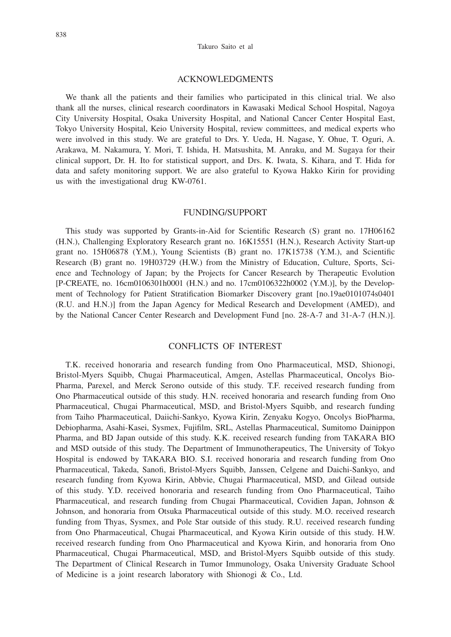#### Takuro Saito et al

## ACKNOWLEDGMENTS

We thank all the patients and their families who participated in this clinical trial. We also thank all the nurses, clinical research coordinators in Kawasaki Medical School Hospital, Nagoya City University Hospital, Osaka University Hospital, and National Cancer Center Hospital East, Tokyo University Hospital, Keio University Hospital, review committees, and medical experts who were involved in this study. We are grateful to Drs. Y. Ueda, H. Nagase, Y. Ohue, T. Oguri, A. Arakawa, M. Nakamura, Y. Mori, T. Ishida, H. Matsushita, M. Anraku, and M. Sugaya for their clinical support, Dr. H. Ito for statistical support, and Drs. K. Iwata, S. Kihara, and T. Hida for data and safety monitoring support. We are also grateful to Kyowa Hakko Kirin for providing us with the investigational drug KW-0761.

#### FUNDING/SUPPORT

This study was supported by Grants-in-Aid for Scientific Research (S) grant no. 17H06162 (H.N.), Challenging Exploratory Research grant no. 16K15551 (H.N.), Research Activity Start-up grant no. 15H06878 (Y.M.), Young Scientists (B) grant no. 17K15738 (Y.M.), and Scientific Research (B) grant no. 19H03729 (H.W.) from the Ministry of Education, Culture, Sports, Science and Technology of Japan; by the Projects for Cancer Research by Therapeutic Evolution [P-CREATE, no. 16cm0106301h0001 (H.N.) and no. 17cm0106322h0002 (Y.M.)], by the Development of Technology for Patient Stratification Biomarker Discovery grant [no.19ae0101074s0401 (R.U. and H.N.)] from the Japan Agency for Medical Research and Development (AMED), and by the National Cancer Center Research and Development Fund [no. 28-A-7 and 31-A-7 (H.N.)].

## CONFLICTS OF INTEREST

T.K. received honoraria and research funding from Ono Pharmaceutical, MSD, Shionogi, Bristol-Myers Squibb, Chugai Pharmaceutical, Amgen, Astellas Pharmaceutical, Oncolys Bio-Pharma, Parexel, and Merck Serono outside of this study. T.F. received research funding from Ono Pharmaceutical outside of this study. H.N. received honoraria and research funding from Ono Pharmaceutical, Chugai Pharmaceutical, MSD, and Bristol-Myers Squibb, and research funding from Taiho Pharmaceutical, Daiichi-Sankyo, Kyowa Kirin, Zenyaku Kogyo, Oncolys BioPharma, Debiopharma, Asahi-Kasei, Sysmex, Fujifilm, SRL, Astellas Pharmaceutical, Sumitomo Dainippon Pharma, and BD Japan outside of this study. K.K. received research funding from TAKARA BIO and MSD outside of this study. The Department of Immunotherapeutics, The University of Tokyo Hospital is endowed by TAKARA BIO. S.I. received honoraria and research funding from Ono Pharmaceutical, Takeda, Sanofi, Bristol-Myers Squibb, Janssen, Celgene and Daichi-Sankyo, and research funding from Kyowa Kirin, Abbvie, Chugai Pharmaceutical, MSD, and Gilead outside of this study. Y.D. received honoraria and research funding from Ono Pharmaceutical, Taiho Pharmaceutical, and research funding from Chugai Pharmaceutical, Covidien Japan, Johnson & Johnson, and honoraria from Otsuka Pharmaceutical outside of this study. M.O. received research funding from Thyas, Sysmex, and Pole Star outside of this study. R.U. received research funding from Ono Pharmaceutical, Chugai Pharmaceutical, and Kyowa Kirin outside of this study. H.W. received research funding from Ono Pharmaceutical and Kyowa Kirin, and honoraria from Ono Pharmaceutical, Chugai Pharmaceutical, MSD, and Bristol-Myers Squibb outside of this study. The Department of Clinical Research in Tumor Immunology, Osaka University Graduate School of Medicine is a joint research laboratory with Shionogi & Co., Ltd.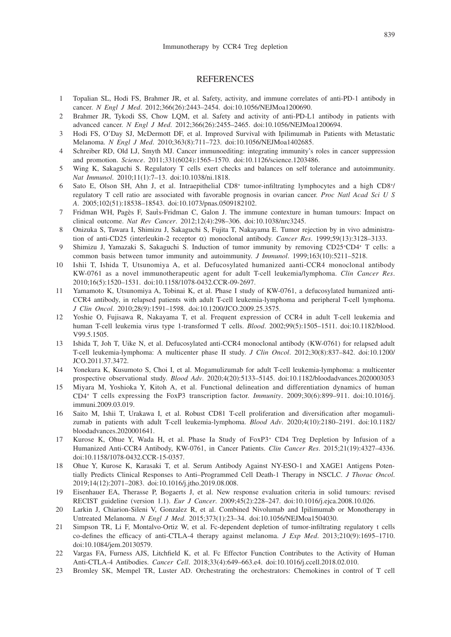## **REFERENCES**

- 1 Topalian SL, Hodi FS, Brahmer JR, et al. Safety, activity, and immune correlates of anti-PD-1 antibody in cancer. *N Engl J Med*. 2012;366(26):2443–2454. doi:10.1056/NEJMoa1200690.
- 2 Brahmer JR, Tykodi SS, Chow LQM, et al. Safety and activity of anti-PD-L1 antibody in patients with advanced cancer. *N Engl J Med*. 2012;366(26):2455–2465. doi:10.1056/NEJMoa1200694.
- 3 Hodi FS, O'Day SJ, McDermott DF, et al. Improved Survival with Ipilimumab in Patients with Metastatic Melanoma. *N Engl J Med*. 2010;363(8):711–723. doi:10.1056/NEJMoa1402685.
- Schreiber RD, Old LJ, Smyth MJ. Cancer immunoediting: integrating immunity's roles in cancer suppression and promotion. *Science*. 2011;331(6024):1565–1570. doi:10.1126/science.1203486.
- 5 Wing K, Sakaguchi S. Regulatory T cells exert checks and balances on self tolerance and autoimmunity. *Nat Immunol*. 2010;11(1):7–13. doi:10.1038/ni.1818.
- 6 Sato E, Olson SH, Ahn J, et al. Intraepithelial CD8+ tumor-infiltrating lymphocytes and a high CD8+/ regulatory T cell ratio are associated with favorable prognosis in ovarian cancer. *Proc Natl Acad Sci U S A*. 2005;102(51):18538–18543. doi:10.1073/pnas.0509182102.
- 7 Fridman WH, Pagès F, Saut`s-Fridman C, Galon J. The immune contexture in human tumours: Impact on clinical outcome. *Nat Rev Cancer*. 2012;12(4):298–306. doi:10.1038/nrc3245.
- 8 Onizuka S, Tawara I, Shimizu J, Sakaguchi S, Fujita T, Nakayama E. Tumor rejection by in vivo administration of anti-CD25 (interleukin-2 receptor α) monoclonal antibody. *Cancer Res*. 1999;59(13):3128–3133.
- 9 Shimizu J, Yamazaki S, Sakaguchi S. Induction of tumor immunity by removing CD25<sup>+</sup>CD4<sup>+</sup> T cells: a common basis between tumor immunity and autoimmunity. *J Immunol*. 1999;163(10):5211–5218.
- 10 Ishii T, Ishida T, Utsunomiya A, et al. Defucosylated humanized aanti-CCR4 monoclonal antibody KW-0761 as a novel immunotherapeutic agent for adult T-cell leukemia/lymphoma. *Clin Cancer Res*. 2010;16(5):1520–1531. doi:10.1158/1078-0432.CCR-09-2697.
- 11 Yamamoto K, Utsunomiya A, Tobinai K, et al. Phase I study of KW-0761, a defucosylated humanized anti-CCR4 antibody, in relapsed patients with adult T-cell leukemia-lymphoma and peripheral T-cell lymphoma. *J Clin Oncol*. 2010;28(9):1591–1598. doi:10.1200/JCO.2009.25.3575.
- 12 Yoshie O, Fujisawa R, Nakayama T, et al. Frequent expression of CCR4 in adult T-cell leukemia and human T-cell leukemia virus type 1-transformed T cells. *Blood*. 2002;99(5):1505–1511. doi:10.1182/blood. V99.5.1505.
- 13 Ishida T, Joh T, Uike N, et al. Defucosylated anti-CCR4 monoclonal antibody (KW-0761) for relapsed adult T-cell leukemia-lymphoma: A multicenter phase II study. *J Clin Oncol*. 2012;30(8):837–842. doi:10.1200/ JCO.2011.37.3472.
- 14 Yonekura K, Kusumoto S, Choi I, et al. Mogamulizumab for adult T-cell leukemia-lymphoma: a multicenter prospective observational study. *Blood Adv*. 2020;4(20):5133–5145. doi:10.1182/bloodadvances.2020003053
- 15 Miyara M, Yoshioka Y, Kitoh A, et al. Functional delineation and differentiation dynamics of human CD4+ T cells expressing the FoxP3 transcription factor. *Immunity*. 2009;30(6):899–911. doi:10.1016/j. immuni.2009.03.019.
- 16 Saito M, Ishii T, Urakawa I, et al. Robust CD81 T-cell proliferation and diversification after mogamulizumab in patients with adult T-cell leukemia-lymphoma. *Blood Adv*. 2020;4(10):2180–2191. doi:10.1182/ bloodadvances.2020001641.
- 17 Kurose K, Ohue Y, Wada H, et al. Phase Ia Study of FoxP3+ CD4 Treg Depletion by Infusion of a Humanized Anti-CCR4 Antibody, KW-0761, in Cancer Patients. *Clin Cancer Res*. 2015;21(19):4327–4336. doi:10.1158/1078-0432.CCR-15-0357.
- 18 Ohue Y, Kurose K, Karasaki T, et al. Serum Antibody Against NY-ESO-1 and XAGE1 Antigens Potentially Predicts Clinical Responses to Anti–Programmed Cell Death-1 Therapy in NSCLC. *J Thorac Oncol*. 2019;14(12):2071–2083. doi:10.1016/j.jtho.2019.08.008.
- 19 Eisenhauer EA, Therasse P, Bogaerts J, et al. New response evaluation criteria in solid tumours: revised RECIST guideline (version 1.1). *Eur J Cancer*. 2009;45(2):228–247. doi:10.1016/j.ejca.2008.10.026.
- 20 Larkin J, Chiarion-Sileni V, Gonzalez R, et al. Combined Nivolumab and Ipilimumab or Monotherapy in Untreated Melanoma. *N Engl J Med*. 2015;373(1):23–34. doi:10.1056/NEJMoa1504030.
- 21 Simpson TR, Li F, Montalvo-Ortiz W, et al. Fc-dependent depletion of tumor-infiltrating regulatory t cells co-defines the efficacy of anti-CTLA-4 therapy against melanoma. *J Exp Med*. 2013;210(9):1695–1710. doi:10.1084/jem.20130579.
- 22 Vargas FA, Furness AJS, Litchfield K, et al. Fc Effector Function Contributes to the Activity of Human Anti-CTLA-4 Antibodies. *Cancer Cell*. 2018;33(4):649–663.e4. doi:10.1016/j.ccell.2018.02.010.
- 23 Bromley SK, Mempel TR, Luster AD. Orchestrating the orchestrators: Chemokines in control of T cell